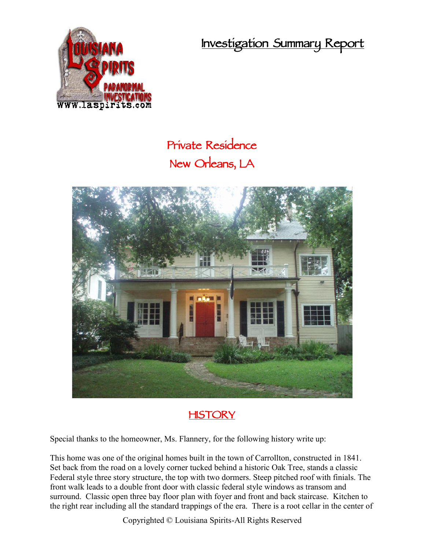**Investigation Summary Report**



## **Private Residence New Orleans, LA**



## **HISTORY**

Special thanks to the homeowner, Ms. Flannery, for the following history write up:

This home was one of the original homes built in the town of Carrollton, constructed in 1841. Set back from the road on a lovely corner tucked behind a historic Oak Tree, stands a classic Federal style three story structure, the top with two dormers. Steep pitched roof with finials. The front walk leads to a double front door with classic federal style windows as transom and surround. Classic open three bay floor plan with foyer and front and back staircase. Kitchen to the right rear including all the standard trappings of the era. There is a root cellar in the center of

Copyrighted © Louisiana Spirits-All Rights Reserved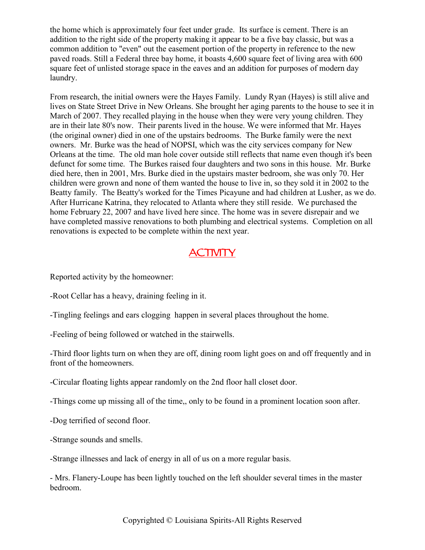the home which is approximately four feet under grade. Its surface is cement. There is an addition to the right side of the property making it appear to be a five bay classic, but was a common addition to "even" out the easement portion of the property in reference to the new paved roads. Still a Federal three bay home, it boasts 4,600 square feet of living area with 600 square feet of unlisted storage space in the eaves and an addition for purposes of modern day laundry.

From research, the initial owners were the Hayes Family. Lundy Ryan (Hayes) is still alive and lives on State Street Drive in New Orleans. She brought her aging parents to the house to see it in March of 2007. They recalled playing in the house when they were very young children. They are in their late 80's now. Their parents lived in the house. We were informed that Mr. Hayes (the original owner) died in one of the upstairs bedrooms. The Burke family were the next owners. Mr. Burke was the head of NOPSI, which was the city services company for New Orleans at the time. The old man hole cover outside still reflects that name even though it's been defunct for some time. The Burkes raised four daughters and two sons in this house. Mr. Burke died here, then in 2001, Mrs. Burke died in the upstairs master bedroom, she was only 70. Her children were grown and none of them wanted the house to live in, so they sold it in 2002 to the Beatty family. The Beatty's worked for the Times Picayune and had children at Lusher, as we do. After Hurricane Katrina, they relocated to Atlanta where they still reside. We purchased the home February 22, 2007 and have lived here since. The home was in severe disrepair and we have completed massive renovations to both plumbing and electrical systems. Completion on all renovations is expected to be complete within the next year.

## **ACTIVITY**

Reported activity by the homeowner:

-Root Cellar has a heavy, draining feeling in it.

-Tingling feelings and ears clogging happen in several places throughout the home.

-Feeling of being followed or watched in the stairwells.

-Third floor lights turn on when they are off, dining room light goes on and off frequently and in front of the homeowners.

-Circular floating lights appear randomly on the 2nd floor hall closet door.

-Things come up missing all of the time,, only to be found in a prominent location soon after.

-Dog terrified of second floor.

-Strange sounds and smells.

-Strange illnesses and lack of energy in all of us on a more regular basis.

- Mrs. Flanery-Loupe has been lightly touched on the left shoulder several times in the master bedroom.